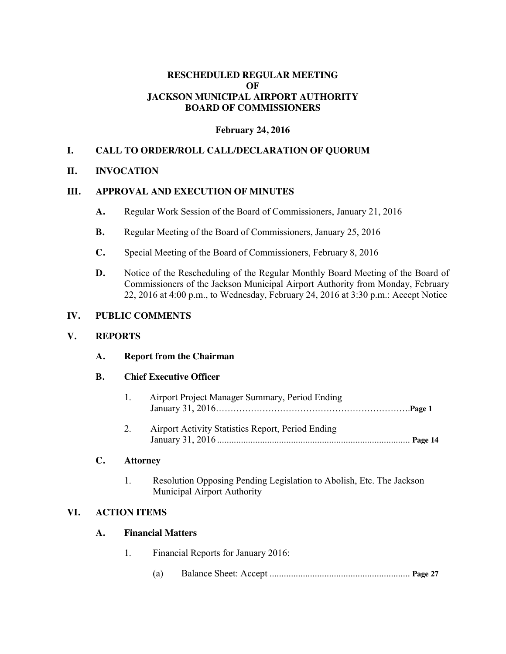### **RESCHEDULED REGULAR MEETING OF JACKSON MUNICIPAL AIRPORT AUTHORITY BOARD OF COMMISSIONERS**

#### **February 24, 2016**

# **I. CALL TO ORDER/ROLL CALL/DECLARATION OF QUORUM**

#### **II. INVOCATION**

## **III. APPROVAL AND EXECUTION OF MINUTES**

- **A.** Regular Work Session of the Board of Commissioners, January 21, 2016
- **B.** Regular Meeting of the Board of Commissioners, January 25, 2016
- **C.** Special Meeting of the Board of Commissioners, February 8, 2016
- **D.** Notice of the Rescheduling of the Regular Monthly Board Meeting of the Board of Commissioners of the Jackson Municipal Airport Authority from Monday, February 22, 2016 at 4:00 p.m., to Wednesday, February 24, 2016 at 3:30 p.m.: Accept Notice

## **IV. PUBLIC COMMENTS**

#### **V. REPORTS**

**VI.** 

| A.        | <b>Report from the Chairman</b> |                                                                                                     |  |
|-----------|---------------------------------|-----------------------------------------------------------------------------------------------------|--|
| <b>B.</b> | <b>Chief Executive Officer</b>  |                                                                                                     |  |
|           | 1.                              | Airport Project Manager Summary, Period Ending                                                      |  |
|           | 2.                              | Airport Activity Statistics Report, Period Ending                                                   |  |
| C.        | <b>Attorney</b>                 |                                                                                                     |  |
|           | 1.                              | Resolution Opposing Pending Legislation to Abolish, Etc. The Jackson<br>Municipal Airport Authority |  |
|           | <b>ACTION ITEMS</b>             |                                                                                                     |  |
| A.        |                                 | <b>Financial Matters</b>                                                                            |  |
|           | 1.                              | Financial Reports for January 2016:                                                                 |  |
|           |                                 | (a)                                                                                                 |  |